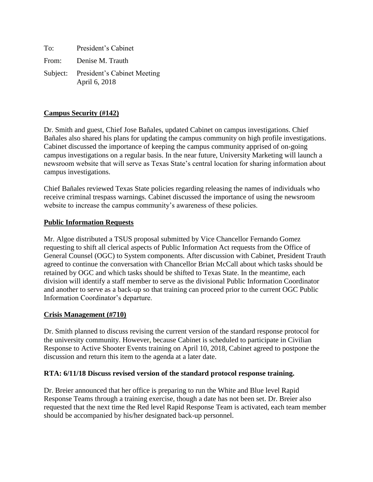To: President's Cabinet From: Denise M. Trauth Subject: President's Cabinet Meeting April 6, 2018

# **Campus Security (#142)**

Dr. Smith and guest, Chief Jose Bañales, updated Cabinet on campus investigations. Chief Bañales also shared his plans for updating the campus community on high profile investigations. Cabinet discussed the importance of keeping the campus community apprised of on-going campus investigations on a regular basis. In the near future, University Marketing will launch a newsroom website that will serve as Texas State's central location for sharing information about campus investigations.

Chief Bañales reviewed Texas State policies regarding releasing the names of individuals who receive criminal trespass warnings. Cabinet discussed the importance of using the newsroom website to increase the campus community's awareness of these policies.

## **Public Information Requests**

Mr. Algoe distributed a TSUS proposal submitted by Vice Chancellor Fernando Gomez requesting to shift all clerical aspects of Public Information Act requests from the Office of General Counsel (OGC) to System components. After discussion with Cabinet, President Trauth agreed to continue the conversation with Chancellor Brian McCall about which tasks should be retained by OGC and which tasks should be shifted to Texas State. In the meantime, each division will identify a staff member to serve as the divisional Public Information Coordinator and another to serve as a back-up so that training can proceed prior to the current OGC Public Information Coordinator's departure.

### **Crisis Management (#710)**

Dr. Smith planned to discuss revising the current version of the standard response protocol for the university community. However, because Cabinet is scheduled to participate in Civilian Response to Active Shooter Events training on April 10, 2018, Cabinet agreed to postpone the discussion and return this item to the agenda at a later date.

### **RTA: 6/11/18 Discuss revised version of the standard protocol response training.**

Dr. Breier announced that her office is preparing to run the White and Blue level Rapid Response Teams through a training exercise, though a date has not been set. Dr. Breier also requested that the next time the Red level Rapid Response Team is activated, each team member should be accompanied by his/her designated back-up personnel.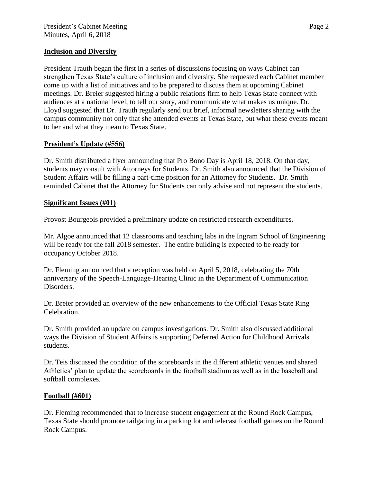## **Inclusion and Diversity**

President Trauth began the first in a series of discussions focusing on ways Cabinet can strengthen Texas State's culture of inclusion and diversity. She requested each Cabinet member come up with a list of initiatives and to be prepared to discuss them at upcoming Cabinet meetings. Dr. Breier suggested hiring a public relations firm to help Texas State connect with audiences at a national level, to tell our story, and communicate what makes us unique. Dr. Lloyd suggested that Dr. Trauth regularly send out brief, informal newsletters sharing with the campus community not only that she attended events at Texas State, but what these events meant to her and what they mean to Texas State.

## **President's Update (#556)**

Dr. Smith distributed a flyer announcing that Pro Bono Day is April 18, 2018. On that day, students may consult with Attorneys for Students. Dr. Smith also announced that the Division of Student Affairs will be filling a part-time position for an Attorney for Students. Dr. Smith reminded Cabinet that the Attorney for Students can only advise and not represent the students.

### **Significant Issues (#01)**

Provost Bourgeois provided a preliminary update on restricted research expenditures.

Mr. Algoe announced that 12 classrooms and teaching labs in the Ingram School of Engineering will be ready for the fall 2018 semester. The entire building is expected to be ready for occupancy October 2018.

Dr. Fleming announced that a reception was held on April 5, 2018, celebrating the 70th anniversary of the Speech-Language-Hearing Clinic in the Department of Communication Disorders.

Dr. Breier provided an overview of the new enhancements to the Official Texas State Ring Celebration.

Dr. Smith provided an update on campus investigations. Dr. Smith also discussed additional ways the Division of Student Affairs is supporting Deferred Action for Childhood Arrivals students.

Dr. Teis discussed the condition of the scoreboards in the different athletic venues and shared Athletics' plan to update the scoreboards in the football stadium as well as in the baseball and softball complexes.

### **Football (#601)**

Dr. Fleming recommended that to increase student engagement at the Round Rock Campus, Texas State should promote tailgating in a parking lot and telecast football games on the Round Rock Campus.